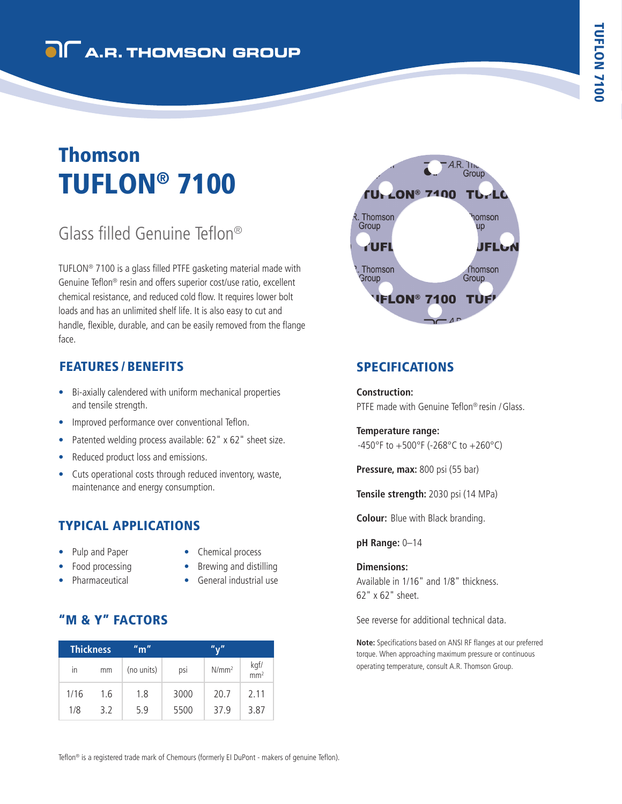# TUFLON® 7100 Thomson

## Glass filled Genuine Teflon®

TUFLON® 7100 is a glass filled PTFE gasketing material made with Genuine Teflon® resin and offers superior cost/use ratio, excellent chemical resistance, and reduced cold flow. It requires lower bolt loads and has an unlimited shelf life. It is also easy to cut and handle, flexible, durable, and can be easily removed from the flange face.

## FEATURES / BENEFITS

- Bi-axially calendered with uniform mechanical properties and tensile strength.
- Improved performance over conventional Teflon.
- Patented welding process available: 62" x 62" sheet size.
- Reduced product loss and emissions.
- Cuts operational costs through reduced inventory, waste, maintenance and energy consumption.

## TYPICAL APPLICATIONS

- Pulp and Paper
- Chemical process
- Brewing and distilling
- Food processing • Pharmaceutical
- General industrial use
- 

## "M & Y" FACTORS

| <b>Thickness</b> |     | $^{\prime\prime}$ m $^{\prime\prime}$ | "v"  |          |       |
|------------------|-----|---------------------------------------|------|----------|-------|
| in               | mm  | (no units)                            | psi  | $N/mm^2$ | kgf/m |
| 1/16             | 1.6 | 1.8                                   | 3000 | 20.7     | 2.11  |
| 1/8              | 32  | 5.9                                   | 5500 | 37.9     | 3.87  |



## SPECIFICATIONS

#### **Construction:**

PTFE made with Genuine Teflon® resin /Glass.

#### **Temperature range:**

-450°F to +500°F (-268°C to +260°C)

**Pressure, max:** 800 psi (55 bar)

**Tensile strength:** 2030 psi (14 MPa)

**Colour:** Blue with Black branding.

#### **pH Range:** 0–14

#### **Dimensions:**

Available in 1/16" and 1/8" thickness. 62" x 62" sheet.

See reverse for additional technical data.

**Note:** Specifications based on ANSI RF flanges at our preferred torque. When approaching maximum pressure or continuous operating temperature, consult A.R. Thomson Group.

Teflon® is a registered trade mark of Chemours (formerly EI DuPont - makers of genuine Teflon).